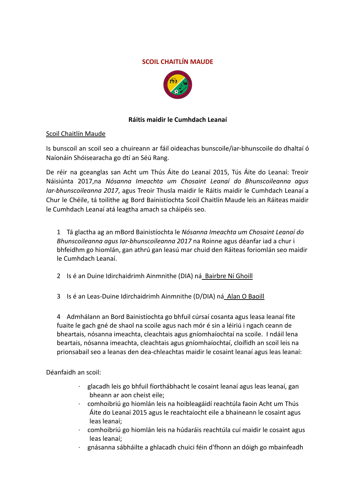## **SCOIL CHAITLÍN MAUDE**



# **Ráitis maidir le Cumhdach Leanaí**

#### Scoil Chaitlín Maude

Is bunscoil an scoil seo a chuireann ar fáil oideachas bunscoile/iar-bhunscoile do dhaltaí ó Naíonáin Shóisearacha go dtí an Séú Rang.

De réir na gceanglas san Acht um Thús Áite do Leanaí 2015, Tús Áite do Leanaí: Treoir Náisiúnta 2017,na *Nósanna Imeachta um Chosaint Leanaí do Bhunscoileanna agus Iar-bhunscoileanna 2017*, agus Treoir Thusla maidir le Ráitis maidir le Cumhdach Leanaí a Chur le Chéile, tá toilithe ag Bord Bainistíochta Scoil Chaitlín Maude leis an Ráiteas maidir le Cumhdach Leanaí atá leagtha amach sa cháipéis seo.

1 Tá glactha ag an mBord Bainistíochta le *Nósanna Imeachta um Chosaint Leanaí do Bhunscoileanna agus Iar-bhunscoileanna 2017* na Roinne agus déanfar iad a chur i bhfeidhm go hiomlán, gan athrú gan leasú mar chuid den Ráiteas foriomlán seo maidir le Cumhdach Leanaí.

2 Is é an Duine Idirchaidrimh Ainmnithe (DIA) ná Bairbre Ní Ghoill

3 Is é an Leas-Duine Idirchaidrimh Ainmnithe (D/DIA) ná Alan O Baoill

4 Admhálann an Bord Bainistíochta go bhfuil cúrsaí cosanta agus leasa leanaí fite fuaite le gach gné de shaol na scoile agus nach mór é sin a léiriú i ngach ceann de bheartais, nósanna imeachta, cleachtais agus gníomhaíochtaí na scoile. I ndáil lena beartais, nósanna imeachta, cleachtais agus gníomhaíochtaí, cloífidh an scoil leis na prionsabail seo a leanas den dea-chleachtas maidir le cosaint leanaí agus leas leanaí:

Déanfaidh an scoil:

- · glacadh leis go bhfuil fíorthábhacht le cosaint leanaí agus leas leanaí, gan bheann ar aon cheist eile;
- · comhoibriú go hiomlán leis na hoibleagáidí reachtúla faoin Acht um Thús Áite do Leanaí 2015 agus le reachtaíocht eile a bhaineann le cosaint agus leas leanaí;
- · comhoibriú go hiomlán leis na húdaráis reachtúla cuí maidir le cosaint agus leas leanaí;
- · gnásanna sábháilte a ghlacadh chuici féin d'fhonn an dóigh go mbainfeadh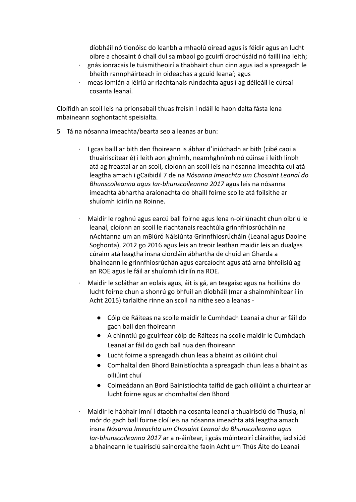díobháil nó tionóisc do leanbh a mhaolú oiread agus is féidir agus an lucht oibre a chosaint ó chall dul sa mbaol go gcuirfí drochúsáid nó faillí ina leith;

- · gnás ionracais le tuismitheoirí a thabhairt chun cinn agus iad a spreagadh le bheith rannpháirteach in oideachas a gcuid leanaí; agus
- · meas iomlán a léiriú ar riachtanais rúndachta agus í ag déileáil le cúrsaí cosanta leanaí.

Cloífidh an scoil leis na prionsabail thuas freisin i ndáil le haon dalta fásta lena mbaineann soghontacht speisialta.

- 5 Tá na nósanna imeachta/bearta seo a leanas ar bun:
	- · I gcas baill ar bith den fhoireann is ábhar d'iniúchadh ar bith (cibé caoi a thuairiscítear é) i leith aon ghnímh, neamhghnímh nó cúinse i leith linbh atá ag freastal ar an scoil, cloíonn an scoil leis na nósanna imeachta cuí atá leagtha amach i gCaibidil 7 de na *Nósanna Imeachta um Chosaint Leanaí do Bhunscoileanna agus Iar-bhunscoileanna 2017* agus leis na nósanna imeachta ábhartha araíonachta do bhaill foirne scoile atá foilsithe ar shuíomh idirlín na Roinne.
	- · Maidir le roghnú agus earcú ball foirne agus lena n-oiriúnacht chun oibriú le leanaí, cloíonn an scoil le riachtanais reachtúla grinnfhiosrúcháin na nAchtanna um an mBiúró Náisiúnta Grinnfhiosrúcháin (Leanaí agus Daoine Soghonta), 2012 go 2016 agus leis an treoir leathan maidir leis an dualgas cúraim atá leagtha insna ciorcláin ábhartha de chuid an Gharda a bhaineann le grinnfhiosrúchán agus earcaíocht agus atá arna bhfoilsiú ag an ROE agus le fáil ar shuíomh idirlín na ROE.
	- · Maidir le soláthar an eolais agus, áit is gá, an teagaisc agus na hoiliúna do lucht foirne chun a shonrú go bhfuil an díobháil (mar a shainmhínítear í in Acht 2015) tarlaithe rinne an scoil na nithe seo a leanas -
		- Cóip de Ráiteas na scoile maidir le Cumhdach Leanaí a chur ar fáil do gach ball den fhoireann
		- A chinntiú go gcuirfear cóip de Ráiteas na scoile maidir le Cumhdach Leanaí ar fáil do gach ball nua den fhoireann
		- Lucht foirne a spreagadh chun leas a bhaint as oiliúint chuí
		- Comhaltaí den Bhord Bainistíochta a spreagadh chun leas a bhaint as oiliúint chuí
		- Coimeádann an Bord Bainistíochta taifid de gach oiliúint a chuirtear ar lucht foirne agus ar chomhaltaí den Bhord
	- · Maidir le hábhair imní i dtaobh na cosanta leanaí a thuairisciú do Thusla, ní mór do gach ball foirne cloí leis na nósanna imeachta atá leagtha amach insna *Nósanna Imeachta um Chosaint Leanaí do Bhunscoileanna agus Iar-bhunscoileanna 2017* ar a n-áirítear, i gcás múinteoirí cláraithe, iad siúd a bhaineann le tuairisciú sainordaithe faoin Acht um Thús Áite do Leanaí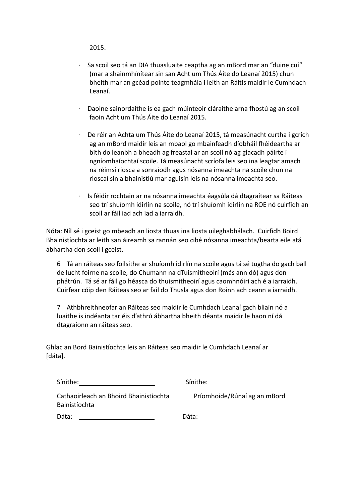2015.

- · Sa scoil seo tá an DIA thuasluaite ceaptha ag an mBord mar an "duine cuí" (mar a shainmhínítear sin san Acht um Thús Áite do Leanaí 2015) chun bheith mar an gcéad pointe teagmhála i leith an Ráitis maidir le Cumhdach Leanaí.
- · Daoine sainordaithe is ea gach múinteoir cláraithe arna fhostú ag an scoil faoin Acht um Thús Áite do Leanaí 2015.
- · De réir an Achta um Thús Áite do Leanaí 2015, tá measúnacht curtha i gcrích ag an mBord maidir leis an mbaol go mbainfeadh díobháil fhéideartha ar bith do leanbh a bheadh ag freastal ar an scoil nó ag glacadh páirte i ngníomhaíochtaí scoile. Tá measúnacht scríofa leis seo ina leagtar amach na réimsí riosca a sonraíodh agus nósanna imeachta na scoile chun na rioscaí sin a bhainistiú mar aguisín leis na nósanna imeachta seo.
- · Is féidir rochtain ar na nósanna imeachta éagsúla dá dtagraítear sa Ráiteas seo trí shuíomh idirlín na scoile, nó trí shuíomh idirlín na ROE nó cuirfidh an scoil ar fáil iad ach iad a iarraidh.

Nóta: Níl sé i gceist go mbeadh an liosta thuas ina liosta uileghabhálach. Cuirfidh Boird Bhainistíochta ar leith san áireamh sa rannán seo cibé nósanna imeachta/bearta eile atá ábhartha don scoil i gceist.

6 Tá an ráiteas seo foilsithe ar shuíomh idirlín na scoile agus tá sé tugtha do gach ball de lucht foirne na scoile, do Chumann na dTuismitheoirí (más ann dó) agus don phátrún. Tá sé ar fáil go héasca do thuismitheoirí agus caomhnóirí ach é a iarraidh. Cuirfear cóip den Ráiteas seo ar fail do Thusla agus don Roinn ach ceann a iarraidh.

7 Athbhreithneofar an Ráiteas seo maidir le Cumhdach Leanaí gach bliain nó a luaithe is indéanta tar éis d'athrú ábhartha bheith déanta maidir le haon ní dá dtagraíonn an ráiteas seo.

Ghlac an Bord Bainistíochta leis an Ráiteas seo maidir le Cumhdach Leanaí ar [dáta].

| Sínithe: |  |
|----------|--|
|          |  |

Sínithe:

Cathaoirleach an Bhoird Bhainistíochta Príomhoide/Rúnaí ag an mBord Bainistíochta

Dáta: Dáta: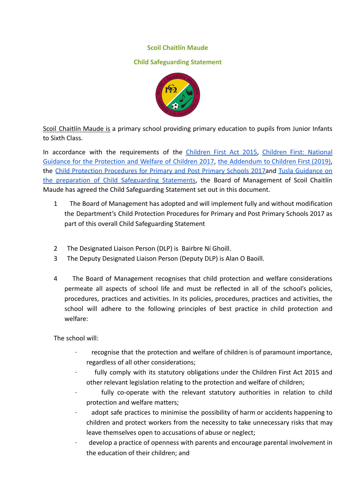#### **Scoil Chaitlín Maude**

### **Child Safeguarding Statement**



Scoil Chaitlín Maude is a primary school providing primary education to pupils from Junior Infants to Sixth Class.

In accordance with the requirements of the *[Children](http://www.irishstatutebook.ie/eli/2015/act/36/enacted/en/pdf) First Act 2015*, *Children First: [National](https://assets.gov.ie/25844/b90aafa55804462f84d05f87f0ca2bf6.pdf)* Guidance for the [Protection](https://assets.gov.ie/25844/b90aafa55804462f84d05f87f0ca2bf6.pdf) and Welfare of Children 2017, the [Addendum](https://assets.gov.ie/25819/c9744b64dfd6447985eeffa5c0d71bbb.pdf) to Children First (2019), the Child Protection [Procedures](https://www.gov.ie/pdf/?file=https://assets.gov.ie/45063/2d4b5b3d781e4ec1ab4f3e5d198717d9.pdf#page=1) for Primary and Post Primary Schools 2017and Tusla [Guidance](https://www.tusla.ie/uploads/content/4214-TUSLA_Guidance_on_Developing_a_CSS_LR.PDF) on the preparation of Child [Safeguarding](https://www.tusla.ie/uploads/content/4214-TUSLA_Guidance_on_Developing_a_CSS_LR.PDF) Statements, the Board of Management of Scoil Chaitlín Maude has agreed the Child Safeguarding Statement set out in this document.

- 1 The Board of Management has adopted and will implement fully and without modification the Department's Child Protection Procedures for Primary and Post Primary Schools 2017 as part of this overall Child Safeguarding Statement
- 2 The Designated Liaison Person (DLP) is Bairbre Ní Ghoill.
- 3 The Deputy Designated Liaison Person (Deputy DLP) is Alan O Baoill.
- 4 The Board of Management recognises that child protection and welfare considerations permeate all aspects of school life and must be reflected in all of the school's policies, procedures, practices and activities. In its policies, procedures, practices and activities, the school will adhere to the following principles of best practice in child protection and welfare:

The school will:

- · recognise that the protection and welfare of children is of paramount importance, regardless of all other considerations;
- fully comply with its statutory obligations under the Children First Act 2015 and other relevant legislation relating to the protection and welfare of children;
- fully co-operate with the relevant statutory authorities in relation to child protection and welfare matters;
- adopt safe practices to minimise the possibility of harm or accidents happening to children and protect workers from the necessity to take unnecessary risks that may leave themselves open to accusations of abuse or neglect;
- develop a practice of openness with parents and encourage parental involvement in the education of their children; and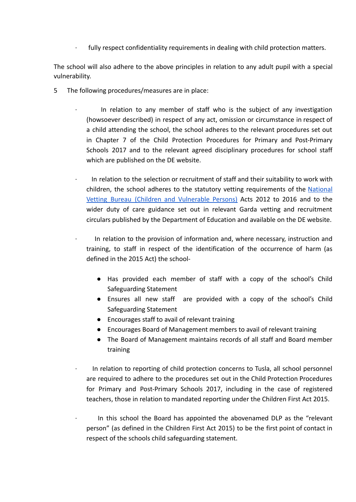fully respect confidentiality requirements in dealing with child protection matters.

The school will also adhere to the above principles in relation to any adult pupil with a special vulnerability.

- 5 The following procedures/measures are in place:
	- In relation to any member of staff who is the subject of any investigation (howsoever described) in respect of any act, omission or circumstance in respect of a child attending the school, the school adheres to the relevant procedures set out in Chapter 7 of the Child Protection Procedures for Primary and Post-Primary Schools 2017 and to the relevant agreed disciplinary procedures for school staff which are published on the DE website.
	- In relation to the selection or recruitment of staff and their suitability to work with children, the school adheres to the statutory vetting requirements of the [National](https://revisedacts.lawreform.ie/eli/2012/act/47/revised/en/pdf) Vetting Bureau (Children and [Vulnerable](https://revisedacts.lawreform.ie/eli/2012/act/47/revised/en/pdf) Persons) Acts 2012 to 2016 and to the wider duty of care guidance set out in relevant Garda vetting and recruitment circulars published by the Department of Education and available on the DE website.
	- · In relation to the provision of information and, where necessary, instruction and training, to staff in respect of the identification of the occurrence of harm (as defined in the 2015 Act) the school-
		- Has provided each member of staff with a copy of the school's Child Safeguarding Statement
		- Ensures all new staff are provided with a copy of the school's Child Safeguarding Statement
		- Encourages staff to avail of relevant training
		- Encourages Board of Management members to avail of relevant training
		- The Board of Management maintains records of all staff and Board member training
	- · In relation to reporting of child protection concerns to Tusla, all school personnel are required to adhere to the procedures set out in the Child Protection Procedures for Primary and Post-Primary Schools 2017, including in the case of registered teachers, those in relation to mandated reporting under the Children First Act 2015.
	- In this school the Board has appointed the abovenamed DLP as the "relevant person" (as defined in the Children First Act 2015) to be the first point of contact in respect of the schools child safeguarding statement.